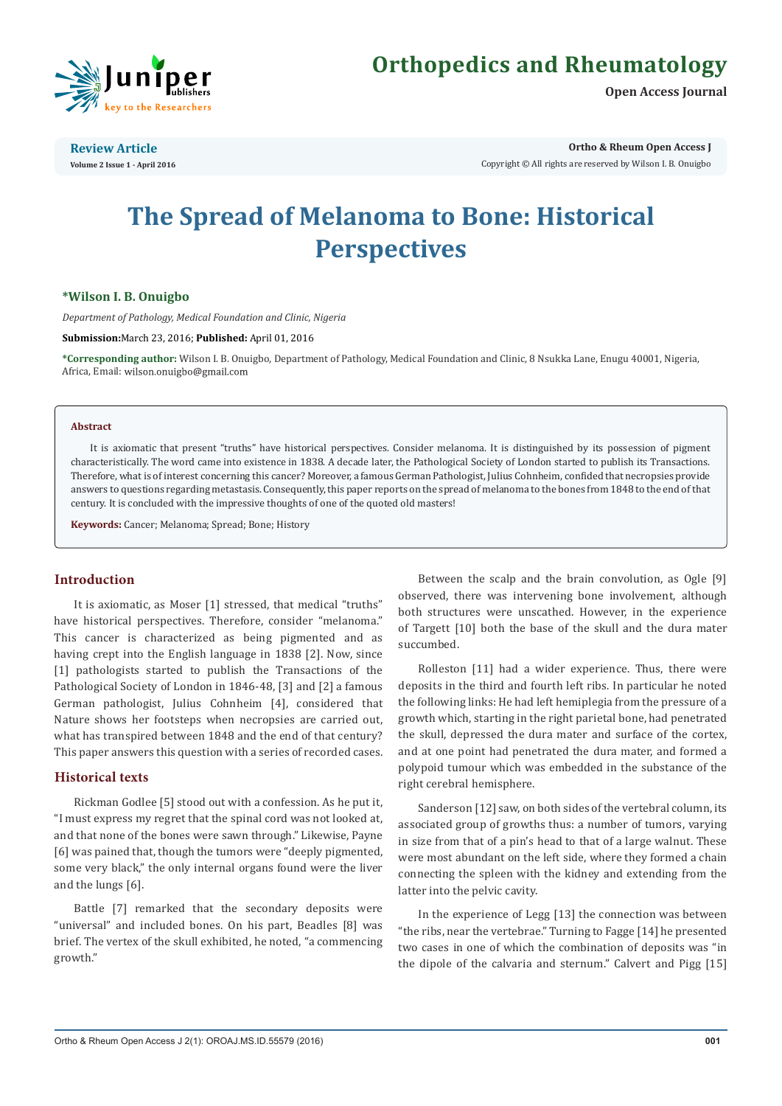

# **Orthopedics and Rheumatology**

**Open Access Journal**

**Review Article Volume 2 Issue 1 - April 2016** **Ortho & Rheum Open Access J**

Copyright © All rights are reserved by Wilson I. B. Onuigbo

# **The Spread of Melanoma to Bone: Historical Perspectives**

### **\*Wilson I. B. Onuigbo**

*Department of Pathology, Medical Foundation and Clinic, Nigeria*

**Submission:**March 23, 2016; **Published:** April 01, 2016

**\*Corresponding author:** Wilson I. B. Onuigbo, Department of Pathology, Medical Foundation and Clinic, 8 Nsukka Lane, Enugu 40001, Nigeria, Africa, Email: wilson.onuigbo@gmail.com

#### **Abstract**

It is axiomatic that present "truths" have historical perspectives. Consider melanoma. It is distinguished by its possession of pigment characteristically. The word came into existence in 1838. A decade later, the Pathological Society of London started to publish its Transactions. Therefore, what is of interest concerning this cancer? Moreover, a famous German Pathologist, Julius Cohnheim, confided that necropsies provide answers to questions regarding metastasis. Consequently, this paper reports on the spread of melanoma to the bones from 1848 to the end of that century. It is concluded with the impressive thoughts of one of the quoted old masters!

**Keywords:** Cancer; Melanoma; Spread; Bone; History

#### **Introduction**

It is axiomatic, as Moser [1] stressed, that medical "truths" have historical perspectives. Therefore, consider "melanoma." This cancer is characterized as being pigmented and as having crept into the English language in 1838 [2]. Now, since [1] pathologists started to publish the Transactions of the Pathological Society of London in 1846-48, [3] and [2] a famous German pathologist, Julius Cohnheim [4], considered that Nature shows her footsteps when necropsies are carried out, what has transpired between 1848 and the end of that century? This paper answers this question with a series of recorded cases.

#### **Historical texts**

Rickman Godlee [5] stood out with a confession. As he put it, "I must express my regret that the spinal cord was not looked at, and that none of the bones were sawn through." Likewise, Payne [6] was pained that, though the tumors were "deeply pigmented, some very black," the only internal organs found were the liver and the lungs [6].

Battle [7] remarked that the secondary deposits were "universal" and included bones. On his part, Beadles [8] was brief. The vertex of the skull exhibited, he noted, "a commencing growth."

Between the scalp and the brain convolution, as Ogle [9] observed, there was intervening bone involvement, although both structures were unscathed. However, in the experience of Targett [10] both the base of the skull and the dura mater succumbed.

Rolleston [11] had a wider experience. Thus, there were deposits in the third and fourth left ribs. In particular he noted the following links: He had left hemiplegia from the pressure of a growth which, starting in the right parietal bone, had penetrated the skull, depressed the dura mater and surface of the cortex, and at one point had penetrated the dura mater, and formed a polypoid tumour which was embedded in the substance of the right cerebral hemisphere.

Sanderson [12] saw, on both sides of the vertebral column, its associated group of growths thus: a number of tumors, varying in size from that of a pin's head to that of a large walnut. These were most abundant on the left side, where they formed a chain connecting the spleen with the kidney and extending from the latter into the pelvic cavity.

In the experience of Legg [13] the connection was between "the ribs, near the vertebrae." Turning to Fagge [14] he presented two cases in one of which the combination of deposits was "in the dipole of the calvaria and sternum." Calvert and Pigg [15]